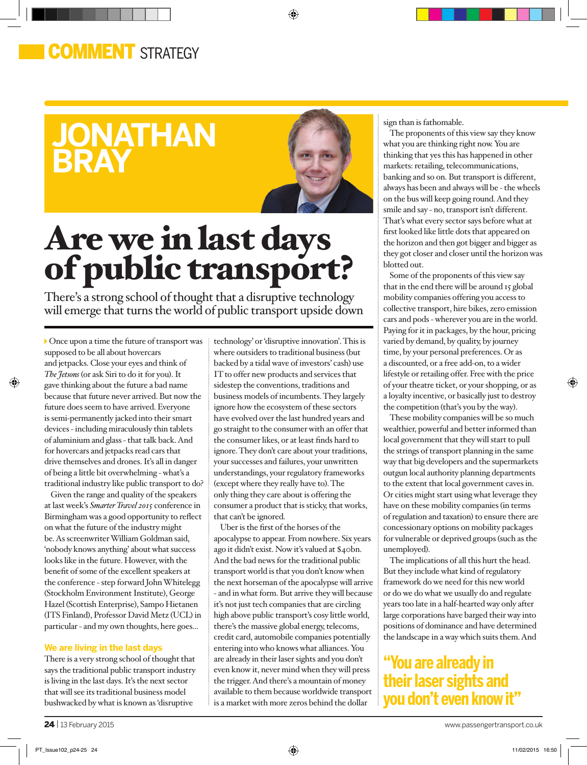## **COMMENT** STRATFGY

## **jonathan bray**



◈

# Are we in last days of public transport?

There's a strong school of thought that a disruptive technology will emerge that turns the world of public transport upside down

Once upon a time the future of transport was supposed to be all about hovercars and jetpacks. Close your eyes and think of *The Jetsons* (or ask Siri to do it for you). It gave thinking about the future a bad name because that future never arrived. But now the future does seem to have arrived. Everyone is semi-permanently jacked into their smart devices - including miraculously thin tablets of aluminium and glass - that talk back. And for hovercars and jetpacks read cars that drive themselves and drones. It's all in danger of being a little bit overwhelming - what's a traditional industry like public transport to do?

⊕

Given the range and quality of the speakers at last week's *Smarter Travel 2015* conference in Birmingham was a good opportunity to reflect on what the future of the industry might be. As screenwriter William Goldman said, 'nobody knows anything' about what success looks like in the future. However, with the benefit of some of the excellent speakers at the conference - step forward John Whitelegg (Stockholm Environment Institute), George Hazel (Scottish Enterprise), Sampo Hietanen (ITS Finland), Professor David Metz (UCL) in particular - and my own thoughts, here goes...

#### **We are living in the last days**

There is a very strong school of thought that says the traditional public transport industry is living in the last days. It's the next sector that will see its traditional business model bushwacked by what is known as 'disruptive

technology' or 'disruptive innovation'. This is where outsiders to traditional business (but backed by a tidal wave of investors' cash) use IT to offer new products and services that sidestep the conventions, traditions and business models of incumbents. They largely ignore how the ecosystem of these sectors have evolved over the last hundred years and go straight to the consumer with an offer that the consumer likes, or at least finds hard to ignore. They don't care about your traditions, your successes and failures, your unwritten understandings, your regulatory frameworks (except where they really have to). The only thing they care about is offering the consumer a product that is sticky, that works, that can't be ignored.

Uber is the first of the horses of the apocalypse to appear. From nowhere. Six years ago it didn't exist. Now it's valued at \$40bn. And the bad news for the traditional public transport world is that you don't know when the next horseman of the apocalypse will arrive - and in what form. But arrive they will because it's not just tech companies that are circling high above public transport's cosy little world, there's the massive global energy, telecoms, credit card, automobile companies potentially entering into who knows what alliances. You are already in their laser sights and you don't even know it, never mind when they will press the trigger. And there's a mountain of money available to them because worldwide transport is a market with more zeros behind the dollar

sign than is fathomable.

The proponents of this view say they know what you are thinking right now. You are thinking that yes this has happened in other markets: retailing, telecommunications, banking and so on. But transport is different, always has been and always will be - the wheels on the bus will keep going round. And they smile and say - no, transport isn't different. That's what every sector says before what at first looked like little dots that appeared on the horizon and then got bigger and bigger as they got closer and closer until the horizon was blotted out.

Some of the proponents of this view say that in the end there will be around 15 global mobility companies offering you access to collective transport, hire bikes, zero emission cars and pods - wherever you are in the world. Paying for it in packages, by the hour, pricing varied by demand, by quality, by journey time, by your personal preferences. Or as a discounted, or a free add-on, to a wider lifestyle or retailing offer. Free with the price of your theatre ticket, or your shopping, or as a loyalty incentive, or basically just to destroy the competition (that's you by the way).

These mobility companies will be so much wealthier, powerful and better informed than local government that they will start to pull the strings of transport planning in the same way that big developers and the supermarkets outgun local authority planning departments to the extent that local government caves in. Or cities might start using what leverage they have on these mobility companies (in terms of regulation and taxation) to ensure there are concessionary options on mobility packages for vulnerable or deprived groups (such as the unemployed).

The implications of all this hurt the head. But they include what kind of regulatory framework do we need for this new world or do we do what we usually do and regulate years too late in a half-hearted way only after large corporations have barged their way into positions of dominance and have determined the landscape in a way which suits them. And

## **"You are already in their laser sights and you don't even know it"**

⊕